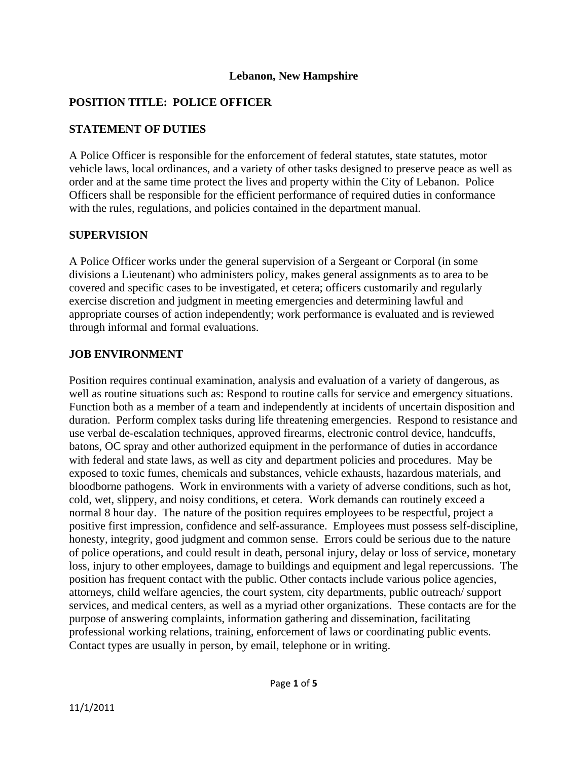#### **Lebanon, New Hampshire**

### **POSITION TITLE: POLICE OFFICER**

### **STATEMENT OF DUTIES**

A Police Officer is responsible for the enforcement of federal statutes, state statutes, motor vehicle laws, local ordinances, and a variety of other tasks designed to preserve peace as well as order and at the same time protect the lives and property within the City of Lebanon. Police Officers shall be responsible for the efficient performance of required duties in conformance with the rules, regulations, and policies contained in the department manual.

### **SUPERVISION**

A Police Officer works under the general supervision of a Sergeant or Corporal (in some divisions a Lieutenant) who administers policy, makes general assignments as to area to be covered and specific cases to be investigated, et cetera; officers customarily and regularly exercise discretion and judgment in meeting emergencies and determining lawful and appropriate courses of action independently; work performance is evaluated and is reviewed through informal and formal evaluations.

### **JOB ENVIRONMENT**

Position requires continual examination, analysis and evaluation of a variety of dangerous, as well as routine situations such as: Respond to routine calls for service and emergency situations. Function both as a member of a team and independently at incidents of uncertain disposition and duration. Perform complex tasks during life threatening emergencies. Respond to resistance and use verbal de-escalation techniques, approved firearms, electronic control device, handcuffs, batons, OC spray and other authorized equipment in the performance of duties in accordance with federal and state laws, as well as city and department policies and procedures. May be exposed to toxic fumes, chemicals and substances, vehicle exhausts, hazardous materials, and bloodborne pathogens. Work in environments with a variety of adverse conditions, such as hot, cold, wet, slippery, and noisy conditions, et cetera. Work demands can routinely exceed a normal 8 hour day. The nature of the position requires employees to be respectful, project a positive first impression, confidence and self-assurance. Employees must possess self-discipline, honesty, integrity, good judgment and common sense. Errors could be serious due to the nature of police operations, and could result in death, personal injury, delay or loss of service, monetary loss, injury to other employees, damage to buildings and equipment and legal repercussions. The position has frequent contact with the public. Other contacts include various police agencies, attorneys, child welfare agencies, the court system, city departments, public outreach/ support services, and medical centers, as well as a myriad other organizations. These contacts are for the purpose of answering complaints, information gathering and dissemination, facilitating professional working relations, training, enforcement of laws or coordinating public events. Contact types are usually in person, by email, telephone or in writing.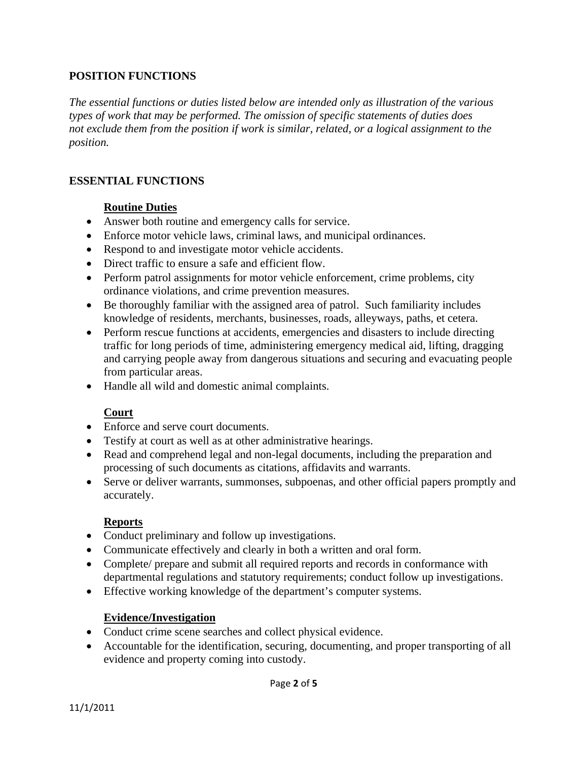### **POSITION FUNCTIONS**

*The essential functions or duties listed below are intended only as illustration of the various types of work that may be performed. The omission of specific statements of duties does not exclude them from the position if work is similar, related, or a logical assignment to the position.* 

#### **ESSENTIAL FUNCTIONS**

#### **Routine Duties**

- Answer both routine and emergency calls for service.
- Enforce motor vehicle laws, criminal laws, and municipal ordinances.
- Respond to and investigate motor vehicle accidents.
- Direct traffic to ensure a safe and efficient flow.
- Perform patrol assignments for motor vehicle enforcement, crime problems, city ordinance violations, and crime prevention measures.
- Be thoroughly familiar with the assigned area of patrol. Such familiarity includes knowledge of residents, merchants, businesses, roads, alleyways, paths, et cetera.
- Perform rescue functions at accidents, emergencies and disasters to include directing traffic for long periods of time, administering emergency medical aid, lifting, dragging and carrying people away from dangerous situations and securing and evacuating people from particular areas.
- Handle all wild and domestic animal complaints.

### **Court**

- Enforce and serve court documents.
- Testify at court as well as at other administrative hearings.
- Read and comprehend legal and non-legal documents, including the preparation and processing of such documents as citations, affidavits and warrants.
- Serve or deliver warrants, summonses, subpoenas, and other official papers promptly and accurately.

### **Reports**

- Conduct preliminary and follow up investigations.
- Communicate effectively and clearly in both a written and oral form.
- Complete/ prepare and submit all required reports and records in conformance with departmental regulations and statutory requirements; conduct follow up investigations.
- Effective working knowledge of the department's computer systems.

#### **Evidence/Investigation**

- Conduct crime scene searches and collect physical evidence.
- Accountable for the identification, securing, documenting, and proper transporting of all evidence and property coming into custody.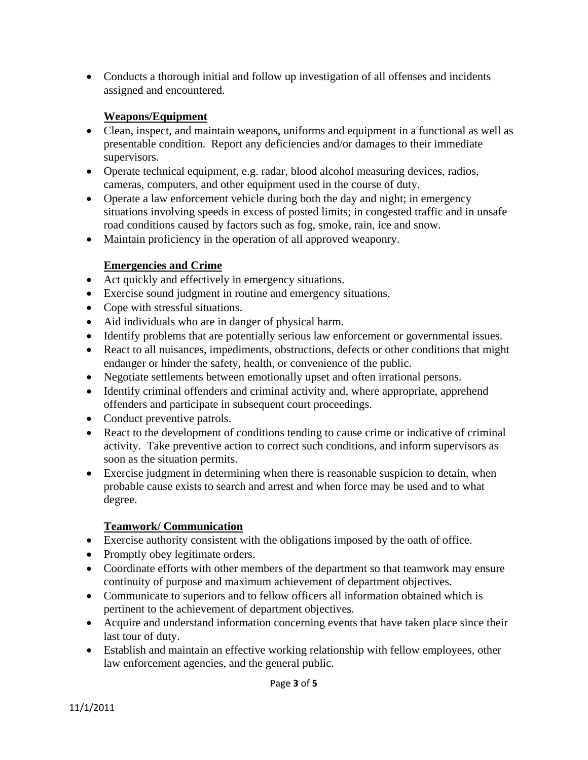• Conducts a thorough initial and follow up investigation of all offenses and incidents assigned and encountered.

### **Weapons/Equipment**

- Clean, inspect, and maintain weapons, uniforms and equipment in a functional as well as presentable condition. Report any deficiencies and/or damages to their immediate supervisors.
- Operate technical equipment, e.g. radar, blood alcohol measuring devices, radios, cameras, computers, and other equipment used in the course of duty.
- Operate a law enforcement vehicle during both the day and night; in emergency situations involving speeds in excess of posted limits; in congested traffic and in unsafe road conditions caused by factors such as fog, smoke, rain, ice and snow.
- Maintain proficiency in the operation of all approved weaponry.

## **Emergencies and Crime**

- Act quickly and effectively in emergency situations.
- Exercise sound judgment in routine and emergency situations.
- Cope with stressful situations.
- Aid individuals who are in danger of physical harm.
- Identify problems that are potentially serious law enforcement or governmental issues.
- React to all nuisances, impediments, obstructions, defects or other conditions that might endanger or hinder the safety, health, or convenience of the public.
- Negotiate settlements between emotionally upset and often irrational persons.
- Identify criminal offenders and criminal activity and, where appropriate, apprehend offenders and participate in subsequent court proceedings.
- Conduct preventive patrols.
- React to the development of conditions tending to cause crime or indicative of criminal activity. Take preventive action to correct such conditions, and inform supervisors as soon as the situation permits.
- Exercise judgment in determining when there is reasonable suspicion to detain, when probable cause exists to search and arrest and when force may be used and to what degree.

### **Teamwork/ Communication**

- Exercise authority consistent with the obligations imposed by the oath of office.
- Promptly obey legitimate orders.
- Coordinate efforts with other members of the department so that teamwork may ensure continuity of purpose and maximum achievement of department objectives.
- Communicate to superiors and to fellow officers all information obtained which is pertinent to the achievement of department objectives.
- Acquire and understand information concerning events that have taken place since their last tour of duty.
- Establish and maintain an effective working relationship with fellow employees, other law enforcement agencies, and the general public.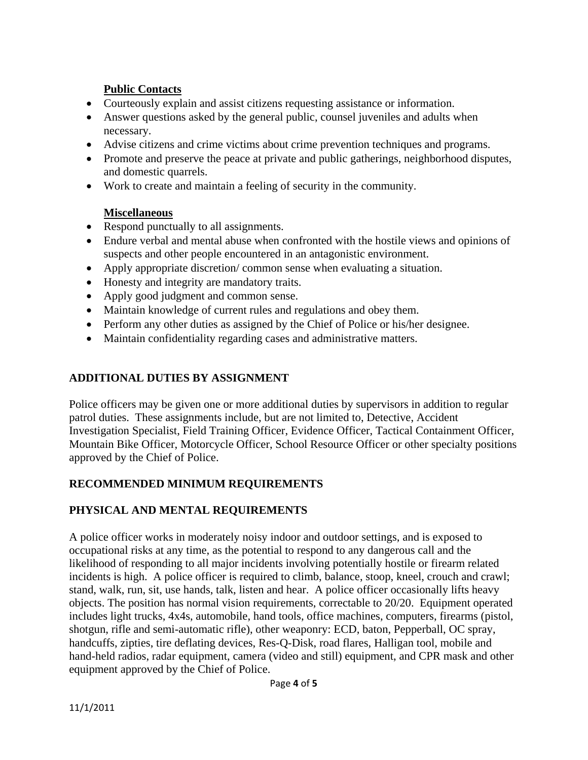## **Public Contacts**

- Courteously explain and assist citizens requesting assistance or information.
- Answer questions asked by the general public, counsel juveniles and adults when necessary.
- Advise citizens and crime victims about crime prevention techniques and programs.
- Promote and preserve the peace at private and public gatherings, neighborhood disputes, and domestic quarrels.
- Work to create and maintain a feeling of security in the community.

### **Miscellaneous**

- Respond punctually to all assignments.
- Endure verbal and mental abuse when confronted with the hostile views and opinions of suspects and other people encountered in an antagonistic environment.
- Apply appropriate discretion/ common sense when evaluating a situation.
- Honesty and integrity are mandatory traits.
- Apply good judgment and common sense.
- Maintain knowledge of current rules and regulations and obey them.
- Perform any other duties as assigned by the Chief of Police or his/her designee.
- Maintain confidentiality regarding cases and administrative matters.

### **ADDITIONAL DUTIES BY ASSIGNMENT**

Police officers may be given one or more additional duties by supervisors in addition to regular patrol duties. These assignments include, but are not limited to, Detective, Accident Investigation Specialist, Field Training Officer, Evidence Officer, Tactical Containment Officer, Mountain Bike Officer, Motorcycle Officer, School Resource Officer or other specialty positions approved by the Chief of Police.

## **RECOMMENDED MINIMUM REQUIREMENTS**

## **PHYSICAL AND MENTAL REQUIREMENTS**

A police officer works in moderately noisy indoor and outdoor settings, and is exposed to occupational risks at any time, as the potential to respond to any dangerous call and the likelihood of responding to all major incidents involving potentially hostile or firearm related incidents is high. A police officer is required to climb, balance, stoop, kneel, crouch and crawl; stand, walk, run, sit, use hands, talk, listen and hear. A police officer occasionally lifts heavy objects. The position has normal vision requirements, correctable to 20/20. Equipment operated includes light trucks, 4x4s, automobile, hand tools, office machines, computers, firearms (pistol, shotgun, rifle and semi-automatic rifle), other weaponry: ECD, baton, Pepperball, OC spray, handcuffs, zipties, tire deflating devices, Res-Q-Disk, road flares, Halligan tool, mobile and hand-held radios, radar equipment, camera (video and still) equipment, and CPR mask and other equipment approved by the Chief of Police.